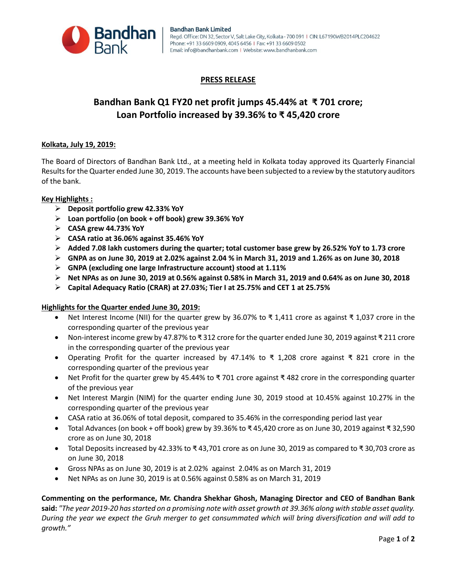

## **PRESS RELEASE**

# **Bandhan Bank Q1 FY20 net profit jumps 45.44% at ₹ 701 crore; Loan Portfolio increased by 39.36% to ₹ 45,420 crore**

### **Kolkata, July 19, 2019:**

The Board of Directors of Bandhan Bank Ltd., at a meeting held in Kolkata today approved its Quarterly Financial Results for the Quarter ended June 30, 2019. The accounts have been subjected to a review by the statutory auditors of the bank.

### **Key Highlights :**

- **Deposit portfolio grew 42.33% YoY**
- **Loan portfolio (on book + off book) grew 39.36% YoY**
- **CASA grew 44.73% YoY**
- **CASA ratio at 36.06% against 35.46% YoY**
- **Added 7.08 lakh customers during the quarter; total customer base grew by 26.52% YoY to 1.73 crore**
- **GNPA as on June 30, 2019 at 2.02% against 2.04 % in March 31, 2019 and 1.26% as on June 30, 2018**
- **GNPA (excluding one large Infrastructure account) stood at 1.11%**
- **Net NPAs as on June 30, 2019 at 0.56% against 0.58% in March 31, 2019 and 0.64% as on June 30, 2018**
- **Capital Adequacy Ratio (CRAR) at 27.03%; Tier I at 25.75% and CET 1 at 25.75%**

#### **Highlights for the Quarter ended June 30, 2019:**

- Net Interest Income (NII) for the quarter grew by 36.07% to ₹1,411 crore as against ₹1,037 crore in the corresponding quarter of the previous year
- Non-interest income grew by 47.87% to ₹ 312 crore for the quarter ended June 30, 2019 against ₹ 211 crore in the corresponding quarter of the previous year
- Operating Profit for the quarter increased by 47.14% to ₹ 1,208 crore against ₹ 821 crore in the corresponding quarter of the previous year
- Net Profit for the quarter grew by 45.44% to ₹ 701 crore against ₹ 482 crore in the corresponding quarter of the previous year
- Net Interest Margin (NIM) for the quarter ending June 30, 2019 stood at 10.45% against 10.27% in the corresponding quarter of the previous year
- CASA ratio at 36.06% of total deposit, compared to 35.46% in the corresponding period last year
- Total Advances (on book + off book) grew by 39.36% to ₹ 45,420 crore as on June 30, 2019 against ₹ 32,590 crore as on June 30, 2018
- Total Deposits increased by 42.33% to ₹ 43,701 crore as on June 30, 2019 as compared to ₹ 30,703 crore as on June 30, 2018
- Gross NPAs as on June 30, 2019 is at 2.02% against 2.04% as on March 31, 2019
- Net NPAs as on June 30, 2019 is at 0.56% against 0.58% as on March 31, 2019

**Commenting on the performance, Mr. Chandra Shekhar Ghosh, Managing Director and CEO of Bandhan Bank said:** *"The year 2019-20 has started on a promising note with asset growth at 39.36% along with stable asset quality. During the year we expect the Gruh merger to get consummated which will bring diversification and will add to growth."*